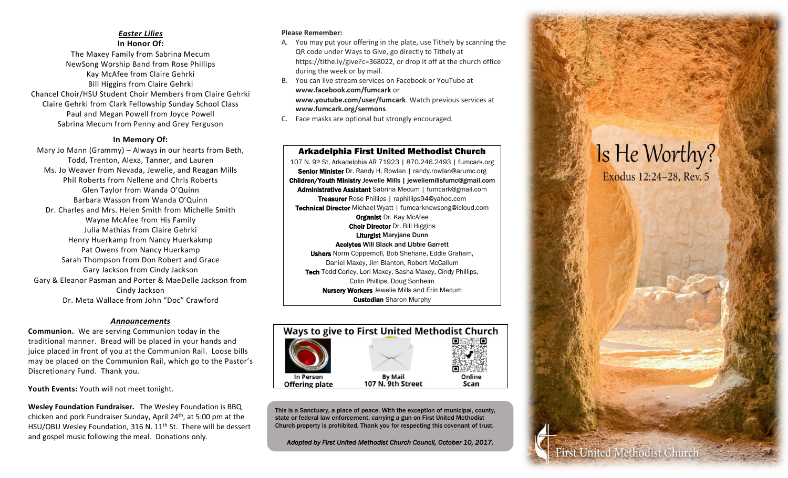#### *Easter Lilies* **In Honor Of:**

The Maxey Family from Sabrina Mecum NewSong Worship Band from Rose Phillips Kay McAfee from Claire Gehrki Bill Higgins from Claire Gehrki Chancel Choir/HSU Student Choir Members from Claire Gehrki Claire Gehrki from Clark Fellowship Sunday School Class Paul and Megan Powell from Joyce Powell Sabrina Mecum from Penny and Grey Ferguson

#### **In Memory Of:**

Mary Jo Mann (Grammy) – Always in our hearts from Beth, Todd, Trenton, Alexa, Tanner, and Lauren Ms. Jo Weaver from Nevada, Jewelie, and Reagan Mills Phil Roberts from Nellene and Chris Roberts Glen Taylor from Wanda O'Quinn Barbara Wasson from Wanda O'Quinn Dr. Charles and Mrs. Helen Smith from Michelle Smith Wayne McAfee from His Family Julia Mathias from Claire Gehrki Henry Huerkamp from Nancy Huerkakmp Pat Owens from Nancy Huerkamp Sarah Thompson from Don Robert and Grace Gary Jackson from Cindy Jackson Gary & Eleanor Pasman and Porter & MaeDelle Jackson from Cindy Jackson Dr. Meta Wallace from John "Doc" Crawford

#### *Announcements*

**Communion.** We are serving Communion today in the traditional manner. Bread will be placed in your hands and juice placed in front of you at the Communion Rail. Loose bills may be placed on the Communion Rail, which go to the Pastor's Discretionary Fund. Thank you.

**Youth Events:** Youth will not meet tonight.

**Wesley Foundation Fundraiser.** The Wesley Foundation is BBQ chicken and pork Fundraiser Sunday, April 24th, at 5:00 pm at the HSU/OBU Wesley Foundation, 316 N. 11<sup>th</sup> St. There will be dessert and gospel music following the meal. Donations only.

#### **Please Remember:**

- A. You may put your offering in the plate, use Tithely by scanning the QR code under Ways to Give, go directly to Tithely at https://tithe.ly/give?c=368022, or drop it off at the church office during the week or by mail.
- B. You can live stream services on Facebook or YouTube at **www.facebook.com/fumcark** or **www.youtube.com/user/fumcark**. Watch previous services at **www.fumcark.org/sermons**.
- C. Face masks are optional but strongly encouraged.

Arkadelphia First United Methodist Church 107 N. 9th St, Arkadelphia AR 71923 | 870.246.2493 | fumcark.org Senior Minister Dr. Randy H. Rowlan | randy.rowlan@arumc.org Children/Youth Ministry Jewelie Mills | jeweliemillsfumc@gmail.com Administrative Assistant Sabrina Mecum | fumcark@gmail.com Treasurer Rose Phillips | raphillips94@yahoo.com Technical Director Michael Wyatt | fumcarknewsong@icloud.com **Organist Dr. Kay McAfee Choir Director Dr. Bill Higgins** Liturgist Maryjane Dunn Acolytes Will Black and Libbie Garrett Ushers Norm Coppernoll, Bob Shehane, Eddie Graham, Daniel Maxey, Jim Blanton, Robert McCallum Tech Todd Corley, Lori Maxey, Sasha Maxey, Cindy Phillips, Colin Phillips, Doug Sonheim **Nursery Workers** Jewelie Mills and Erin Mecum **Custodian** Sharon Murphy



This is a Sanctuary, a place of peace. With the exception of municipal, county, state or federal law enforcement, carrying a gun on First United Methodist Church property is prohibited. Thank you for respecting this covenant of trust.

*Adopted by First United Methodist Church Council, October 10, 2017.*

# Is He Worthy? Exodus 12:24-28, Rev. 5